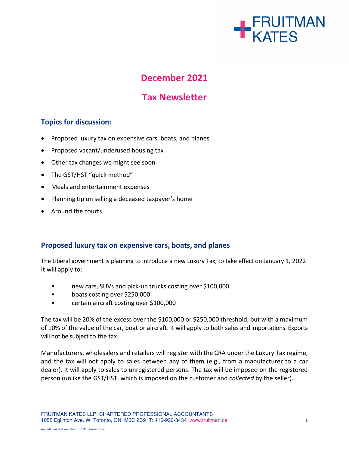

# **December 2021**

# **Tax Newsletter**

## **Topics for discussion:**

- Proposed luxury tax on expensive cars, boats, and planes
- Proposed vacant/underused housing tax
- Other tax changes we might see soon
- The GST/HST "quick method"
- Meals and entertainment expenses
- Planning tip on selling a deceased taxpayer's home
- Around the courts

#### **Proposed luxury tax on expensive cars, boats, and planes**

The Liberal government is planning to introduce a new Luxury Tax, to take effect on January 1, 2022. It will apply to:

- new cars, SUVs and pick-up trucks costing over \$100,000
- boats costing over \$250,000
- certain aircraft costing over \$100,000

The tax will be 20% of the excess over the \$100,000 or \$250,000 threshold, but with a maximum of 10% of the value of the car, boat or aircraft. It will apply to both sales and importations. Exports will not be subject to the tax.

Manufacturers, wholesalers and retailers will register with the CRA under the Luxury Tax regime, and the tax will not apply to sales between any of them (e.g., from a manufacturer to a car dealer). It will apply to sales to unregistered persons. The tax will be imposed on the registered person (unlike the GST/HST, which is imposed on the customer and *collected* by the seller).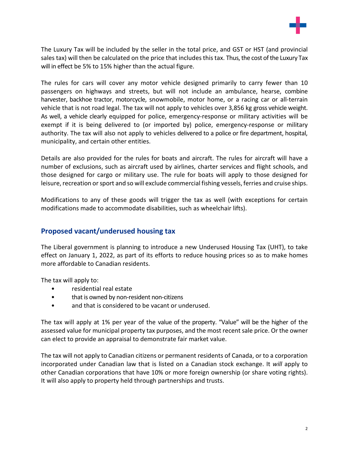

The Luxury Tax will be included by the seller in the total price, and GST or HST (and provincial sales tax) will then be calculated on the price that includes this tax. Thus, the cost of the Luxury Tax will in effect be 5% to 15% higher than the actual figure.

The rules for cars will cover any motor vehicle designed primarily to carry fewer than 10 passengers on highways and streets, but will not include an ambulance, hearse, combine harvester, backhoe tractor, motorcycle, snowmobile, motor home, or a racing car or all-terrain vehicle that is not road legal. The tax will not apply to vehicles over 3,856 kg gross vehicle weight. As well, a vehicle clearly equipped for police, emergency-response or military activities will be exempt if it is being delivered to (or imported by) police, emergency-response or military authority. The tax will also not apply to vehicles delivered to a police or fire department, hospital, municipality, and certain other entities.

Details are also provided for the rules for boats and aircraft. The rules for aircraft will have a number of exclusions, such as aircraft used by airlines, charter services and flight schools, and those designed for cargo or military use. The rule for boats will apply to those designed for leisure, recreation or sport and so will exclude commercial fishing vessels, ferries and cruise ships.

Modifications to any of these goods will trigger the tax as well (with exceptions for certain modifications made to accommodate disabilities, such as wheelchair lifts).

#### **Proposed vacant/underused housing tax**

The Liberal government is planning to introduce a new Underused Housing Tax (UHT), to take effect on January 1, 2022, as part of its efforts to reduce housing prices so as to make homes more affordable to Canadian residents.

The tax will apply to:

- residential real estate
- that is owned by non-resident non-citizens
- and that is considered to be vacant or underused.

The tax will apply at 1% per year of the value of the property. "Value" will be the higher of the assessed value for municipal property tax purposes, and the most recentsale price. Or the owner can elect to provide an appraisal to demonstrate fair market value.

The tax will not apply to Canadian citizens or permanent residents of Canada, or to a corporation incorporated under Canadian law that is listed on a Canadian stock exchange. It *will* apply to other Canadian corporations that have 10% or more foreign ownership (or share voting rights). It will also apply to property held through partnerships and trusts.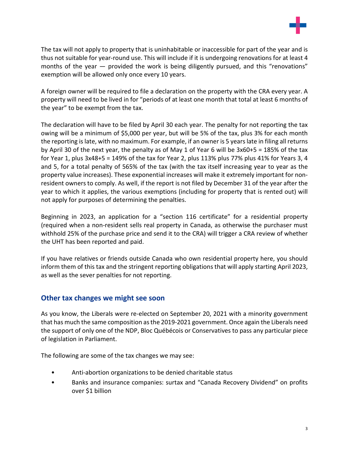

The tax will not apply to property that is uninhabitable or inaccessible for part of the year and is thus not suitable for year-round use. This will include if it is undergoing renovations for at least 4 months of the year — provided the work is being diligently pursued, and this "renovations" exemption will be allowed only once every 10 years.

A foreign owner will be required to file a declaration on the property with the CRA every year. A property will need to be lived in for "periods of at least one month that total at least 6 months of the year" to be exempt from the tax.

The declaration will have to be filed by April 30 each year. The penalty for not reporting the tax owing will be a minimum of \$5,000 per year, but will be 5% of the tax, plus 3% for each month the reporting is late, with no maximum. For example, if an owner is 5 years late in filing all returns by April 30 of the next year, the penalty as of May 1 of Year 6 will be 3x60+5 = 185% of the tax for Year 1, plus 3x48+5 = 149% of the tax for Year 2, plus 113% plus 77% plus 41% for Years 3, 4 and 5, for a total penalty of 565% of the tax (with the tax itself increasing year to year as the property value increases). These exponential increases will make it extremely important for nonresident owners to comply. As well, if the report is not filed by December 31 of the year after the year to which it applies, the various exemptions (including for property that is rented out) will not apply for purposes of determining the penalties.

Beginning in 2023, an application for a "section 116 certificate" for a residential property (required when a non-resident sells real property in Canada, as otherwise the purchaser must withhold 25% of the purchase price and send it to the CRA) will trigger a CRA review of whether the UHT has been reported and paid.

If you have relatives or friends outside Canada who own residential property here, you should inform them of this tax and the stringent reporting obligations that will apply starting April 2023, as well as the sever penalties for not reporting.

#### **Other tax changes we might see soon**

As you know, the Liberals were re-elected on September 20, 2021 with a minority government that has much the same composition asthe 2019-2021 government. Once again the Liberals need the support of only one of the NDP, Bloc Québécois or Conservatives to pass any particular piece of legislation in Parliament.

The following are some of the tax changes we may see:

- Anti-abortion organizations to be denied charitable status
- Banks and insurance companies: surtax and "Canada Recovery Dividend" on profits over \$1 billion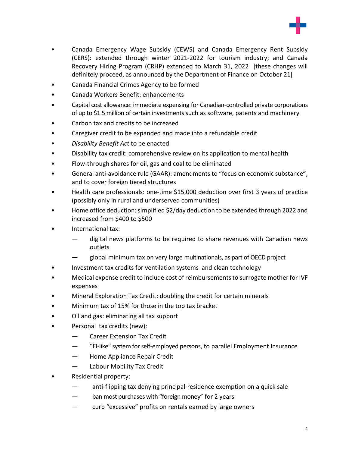

- Canada Emergency Wage Subsidy (CEWS) and Canada Emergency Rent Subsidy (CERS): extended through winter 2021-2022 for tourism industry; and Canada Recovery Hiring Program (CRHP) extended to March 31, 2022 [these changes will definitely proceed, as announced by the Department of Finance on October 21]
- Canada Financial Crimes Agency to be formed
- Canada Workers Benefit: enhancements
- Capital cost allowance: immediate expensing for Canadian-controlled private corporations of up to \$1.5 million of certain investments such as software, patents and machinery
- Carbon tax and credits to be increased
- Caregiver credit to be expanded and made into a refundable credit
- *Disability Benefit Act* to be enacted
- Disability tax credit: comprehensive review on its application to mental health
- Flow-through shares for oil, gas and coal to be eliminated
- General anti-avoidance rule (GAAR): amendments to "focus on economic substance", and to cover foreign tiered structures
- Health care professionals: one-time \$15,000 deduction over first 3 years of practice (possibly only in rural and underserved communities)
- Home office deduction:simplified \$2/day deduction to be extended through 2022 and increased from \$400 to \$500
- International tax:
	- digital news platforms to be required to share revenues with Canadian news outlets
	- global minimum tax on very large multinationals, as part of OECD project
- Investment tax credits for ventilation systems and clean technology
- Medical expense credit to include cost of reimbursementsto surrogate mother for IVF expenses
- Mineral Exploration Tax Credit: doubling the credit for certain minerals
- Minimum tax of 15% for those in the top tax bracket
- Oil and gas: eliminating all tax support
- Personal tax credits (new):
	- Career Extension Tax Credit
	- "EI-like" system forself-employed persons, to parallel Employment Insurance
	- Home Appliance Repair Credit
	- Labour Mobility Tax Credit
- Residential property:
	- anti-flipping tax denying principal-residence exemption on a quick sale
	- ban most purchases with "foreign money" for 2 years
	- curb "excessive" profits on rentals earned by large owners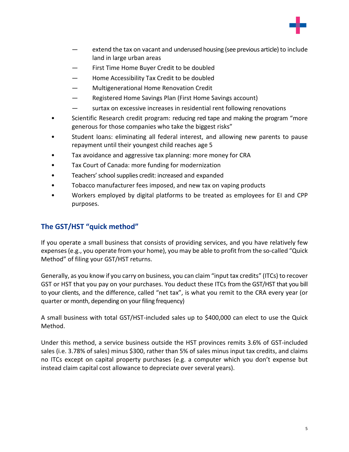

- extend the tax on vacant and underused housing (see previous article) to include land in large urban areas
- First Time Home Buyer Credit to be doubled
- Home Accessibility Tax Credit to be doubled
- Multigenerational Home Renovation Credit
- Registered Home Savings Plan (First Home Savings account)
- surtax on excessive increases in residential rent following renovations
- Scientific Research credit program: reducing red tape and making the program "more generous for those companies who take the biggest risks"
- Student loans: eliminating all federal interest, and allowing new parents to pause repayment until their youngest child reaches age 5
- Tax avoidance and aggressive tax planning: more money for CRA
- Tax Court of Canada: more funding for modernization
- Teachers' school supplies credit: increased and expanded
- Tobacco manufacturer fees imposed, and new tax on vaping products
- Workers employed by digital platforms to be treated as employees for EI and CPP purposes.

### **The GST/HST "quick method"**

If you operate a small business that consists of providing services, and you have relatively few expenses(e.g., you operate from your home), you may be able to profit from the so-called "Quick Method" of filing your GST/HST returns.

Generally, as you know if you carry on business, you can claim "input tax credits" (ITCs) to recover GST or HST that you pay on your purchases. You deduct these ITCs from the GST/HST that you bill to your clients, and the difference, called "net tax", is what you remit to the CRA every year (or quarter or month, depending on your filing frequency)

A small business with total GST/HST-included sales up to \$400,000 can elect to use the Quick Method.

Under this method, a service business outside the HST provinces remits 3.6% of GST-included sales (i.e. 3.78% of sales) minus \$300, rather than 5% of sales minus input tax credits, and claims no ITCs except on capital property purchases (e.g. a computer which you don't expense but instead claim capital cost allowance to depreciate over several years).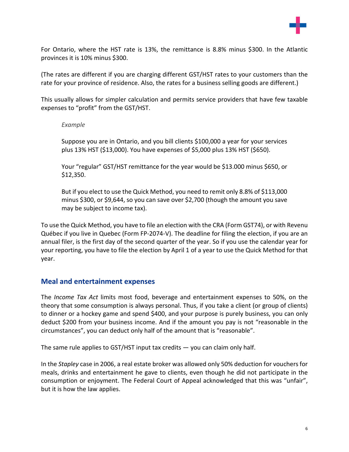

For Ontario, where the HST rate is 13%, the remittance is 8.8% minus \$300. In the Atlantic provinces it is 10% minus \$300.

(The rates are different if you are charging different GST/HST rates to your customers than the rate for your province of residence. Also, the rates for a business selling goods are different.)

This usually allows for simpler calculation and permits service providers that have few taxable expenses to "profit" from the GST/HST.

#### *Example*

Suppose you are in Ontario, and you bill clients \$100,000 a year for your services plus 13% HST (\$13,000). You have expenses of \$5,000 plus 13% HST (\$650).

Your "regular" GST/HST remittance for the year would be \$13.000 minus \$650, or \$12,350.

But if you elect to use the Quick Method, you need to remit only 8.8% of \$113,000 minus \$300, or \$9,644, so you can save over \$2,700 (though the amount you save may be subject to income tax).

To use the Quick Method, you have to file an election with the CRA (Form GST74), or with Revenu Québec if you live in Quebec (Form FP-2074-V). The deadline for filing the election, if you are an annual filer, is the first day of the second quarter of the year. So if you use the calendar year for your reporting, you have to file the election by April 1 of a year to use the Quick Method for that year.

#### **Meal and entertainment expenses**

The *Income Tax Act* limits most food, beverage and entertainment expenses to 50%, on the theory that some consumption is always personal. Thus, if you take a client (or group of clients) to dinner or a hockey game and spend \$400, and your purpose is purely business, you can only deduct \$200 from your business income. And if the amount you pay is not "reasonable in the circumstances", you can deduct only half of the amount that is "reasonable".

The same rule applies to GST/HST input tax credits  $-$  you can claim only half.

In the *Stapley* case in 2006, a real estate broker was allowed only 50% deduction for vouchersfor meals, drinks and entertainment he gave to clients, even though he did not participate in the consumption or enjoyment. The Federal Court of Appeal acknowledged that this was "unfair", but it is how the law applies.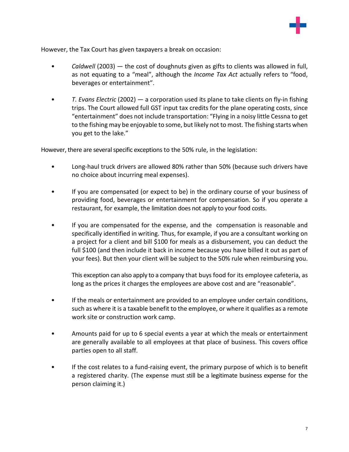

However, the Tax Court has given taxpayers a break on occasion:

- *Caldwell* (2003) the cost of doughnuts given as gifts to clients was allowed in full, as not equating to a "meal", although the *Income Tax Act* actually refers to "food, beverages or entertainment".
- *T. Evans Electric* (2002) a corporation used its plane to take clients on fly-in fishing trips. The Court allowed full GST input tax credits for the plane operating costs, since "entertainment" does not include transportation: "Flying in a noisy little Cessna to get to the fishing may be enjoyable to some, but likely not to most. The fishing starts when you get to the lake."

However, there are several specific exceptions to the 50% rule, in the legislation:

- Long-haul truck drivers are allowed 80% rather than 50% (because such drivers have no choice about incurring meal expenses).
- If you are compensated (or expect to be) in the ordinary course of your business of providing food, beverages or entertainment for compensation. So if you operate a restaurant, for example, the limitation does not apply to your food costs.
- If you are compensated for the expense, and the compensation is reasonable and specifically identified in writing. Thus, for example, if you are a consultant working on a project for a client and bill \$100 for meals as a disbursement, you can deduct the full \$100 (and then include it back in income because you have billed it out as part of your fees). But then your client will be subject to the 50% rule when reimbursing you.

This exception can also apply to a company that buys food for its employee cafeteria, as long as the prices it charges the employees are above cost and are "reasonable".

- If the meals or entertainment are provided to an employee under certain conditions, such as where it is a taxable benefit to the employee, or where it qualifies as a remote work site or construction work camp.
- Amounts paid for up to 6 special events a year at which the meals or entertainment are generally available to all employees at that place of business. This covers office parties open to all staff.
- If the cost relates to a fund-raising event, the primary purpose of which is to benefit a registered charity. (The expense must still be a legitimate business expense for the person claiming it.)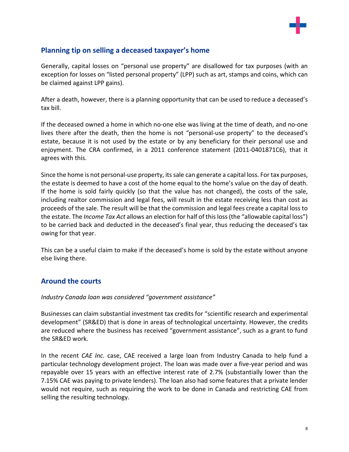

### **Planning tip on selling a deceased taxpayer's home**

Generally, capital losses on "personal use property" are disallowed for tax purposes (with an exception for losses on "listed personal property" (LPP) such as art, stamps and coins, which can be claimed against LPP gains).

After a death, however, there is a planning opportunity that can be used to reduce a deceased's tax bill.

If the deceased owned a home in which no-one else was living at the time of death, and no-one lives there after the death, then the home is not "personal-use property" to the deceased's estate, because it is not used by the estate or by any beneficiary for their personal use and enjoyment. The CRA confirmed, in a 2011 conference statement (2011-0401871C6), that it agrees with this.

Since the home is not personal-use property, its sale can generate a capital loss. For tax purposes, the estate is deemed to have a cost of the home equal to the home's value on the day of death. If the home is sold fairly quickly (so that the value has not changed), the costs of the sale, including realtor commission and legal fees, will result in the estate receiving less than cost as proceeds of the sale. The result will be that the commission and legal fees create a capital loss to the estate. The *Income Tax Act* allows an election for half of thisloss(the "allowable capital loss") to be carried back and deducted in the deceased's final year, thus reducing the deceased's tax owing for that year.

This can be a useful claim to make if the deceased's home is sold by the estate without anyone else living there.

#### **Around the courts**

#### *Industry Canada loan was considered "government assistance"*

Businesses can claim substantial investment tax credits for "scientific research and experimental development" (SR&ED) that is done in areas of technological uncertainty. However, the credits are reduced where the business has received "government assistance", such as a grant to fund the SR&ED work.

In the recent *CAE Inc.* case, CAE received a large loan from Industry Canada to help fund a particular technology development project. The loan was made over a five-year period and was repayable over 15 years with an effective interest rate of 2.7% (substantially lower than the 7.15% CAE was paying to private lenders). The loan also had some features that a private lender would not require, such as requiring the work to be done in Canada and restricting CAE from selling the resulting technology.